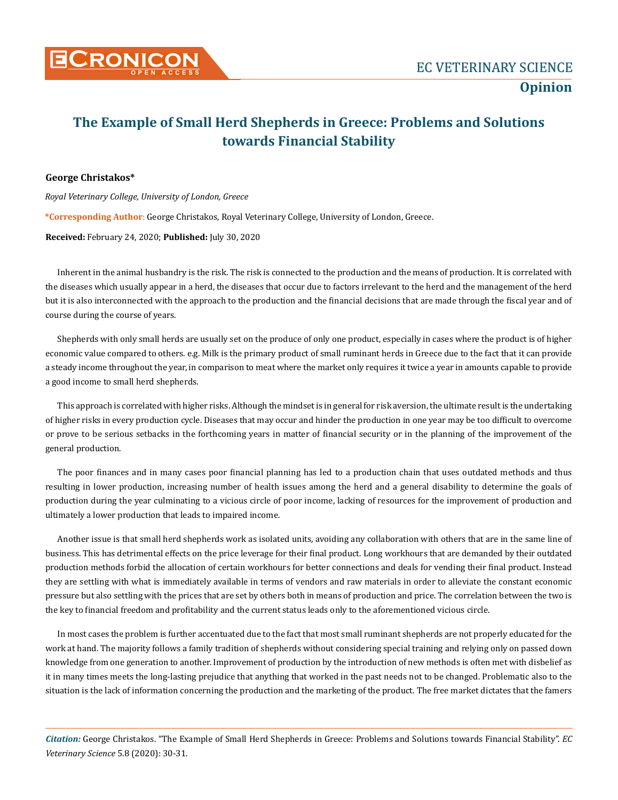

## **The Example of Small Herd Shepherds in Greece: Problems and Solutions towards Financial Stability**

## **George Christakos\***

*Royal Veterinary College, University of London, Greece* 

**\*Corresponding Author**: George Christakos, Royal Veterinary College, University of London, Greece.

**Received:** February 24, 2020; **Published:** July 30, 2020

Inherent in the animal husbandry is the risk. The risk is connected to the production and the means of production. It is correlated with the diseases which usually appear in a herd, the diseases that occur due to factors irrelevant to the herd and the management of the herd but it is also interconnected with the approach to the production and the financial decisions that are made through the fiscal year and of course during the course of years.

Shepherds with only small herds are usually set on the produce of only one product, especially in cases where the product is of higher economic value compared to others. e.g. Milk is the primary product of small ruminant herds in Greece due to the fact that it can provide a steady income throughout the year, in comparison to meat where the market only requires it twice a year in amounts capable to provide a good income to small herd shepherds.

This approach is correlated with higher risks. Although the mindset is in general for risk aversion, the ultimate result is the undertaking of higher risks in every production cycle. Diseases that may occur and hinder the production in one year may be too difficult to overcome or prove to be serious setbacks in the forthcoming years in matter of financial security or in the planning of the improvement of the general production.

The poor finances and in many cases poor financial planning has led to a production chain that uses outdated methods and thus resulting in lower production, increasing number of health issues among the herd and a general disability to determine the goals of production during the year culminating to a vicious circle of poor income, lacking of resources for the improvement of production and ultimately a lower production that leads to impaired income.

Another issue is that small herd shepherds work as isolated units, avoiding any collaboration with others that are in the same line of business. This has detrimental effects on the price leverage for their final product. Long workhours that are demanded by their outdated production methods forbid the allocation of certain workhours for better connections and deals for vending their final product. Instead they are settling with what is immediately available in terms of vendors and raw materials in order to alleviate the constant economic pressure but also settling with the prices that are set by others both in means of production and price. The correlation between the two is the key to financial freedom and profitability and the current status leads only to the aforementioned vicious circle.

In most cases the problem is further accentuated due to the fact that most small ruminant shepherds are not properly educated for the work at hand. The majority follows a family tradition of shepherds without considering special training and relying only on passed down knowledge from one generation to another. Improvement of production by the introduction of new methods is often met with disbelief as it in many times meets the long-lasting prejudice that anything that worked in the past needs not to be changed. Problematic also to the situation is the lack of information concerning the production and the marketing of the product. The free market dictates that the famers

*Citation:* George Christakos. "The Example of Small Herd Shepherds in Greece: Problems and Solutions towards Financial Stability". *EC Veterinary Science* 5.8 (2020): 30-31.